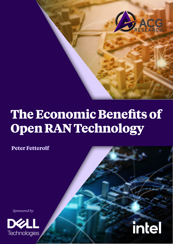

# **The Economic Benefits of Open RAN Technology**

 **Peter Fetterolf**

*Sponsored by*



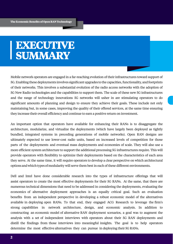## **EXECUTIVE SUMMARY**

Mobile network operators are engaged in a far-reaching evolution of their infrastructures toward support of 5G. Enabling these deployments involves significant upgrades to the capacities, functionality, and footprints of their networks. This involves a substantial evolution of the radio access networks with the adoption of 5G New Radio technologies and the capabilities to support them. The scale of these new 5G infrastructures and the range of technology innovations 5G networks will usher in are stimulating operators to do significant amounts of planning and design to ensure they achieve their goals. These include not only maintaining but, in some cases, improving the quality of their offered services, at the same time ensuring they increase their overall efficiency and continue to earn a positive return on investment.

An important option that operators have available for enhancing their RANs is to disaggregate the architecture, modularize, and virtualize the deployments (which have largely been deployed as tightly bundled, integrated systems in preceding generations of mobile networks). Open RAN designs are ultimately expected to use lower-cost radio units, based on increased levels of competition for those parts of the deployments and eventual mass deployments and economies of scale. They will also use a more efficient system architecture to support the additional processing 5G infrastructures require. This will provide operators with flexibility to optimize their deployments based on the characteristics of each area they serve. At the same time, it will require operators to develop a clear perspective on which architectural optionsandwhichtypesofmodularity will serve them best in each of these different environments.

Dell and Intel have done considerable research into the types of infrastructure offerings that will assist operators to create the most effective deployments for their 5G RANs. At the same, that there are numerous technical dimensions that need to be addressed in considering the deployments, evaluating the economics of alternative deployment approaches is an equally critical goal. Such an evaluation benefits from an independent perspective in developing a robust economic model of the alternatives available in deploying open RANs. To that end, they engaged ACG Research to leverage the firm's strong capabilities in network architecture, design, and economic analysis. In addition to constructing an economic model of alternative RAN deployment scenarios, a goal was to augment the analysis with a set of independent interviews with operators about their 5G RAN deployments and distill the findings from those interviews into meaningful insights. The goal is to help operators determine the most effective alternatives they can pursue in deploying their 5G RANs.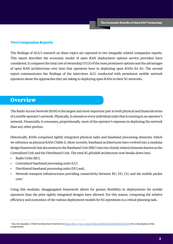#### **Two Companion Reports**

The findings of ACG's research on these topics are captured in two integrally related companion reports. This report describes the economic model of open RAN deployment options service providers have considered. It compares the total cost of ownership (TCO) of the most prominent options and the advantages of open RAN architectures over time that operators have in deploying open RANs for 5G. The second report communicates the findings of the interviews ACG conducted with prominent mobile network operators about the approaches they are taking to deploying open RANs in their 5G networks.

## **Overview**

The Radio Access Network (RAN) is the largest and most important part in both physical and financial terms of a mobile operator's network. Physically, it extends to every individual radio that is running in an operator's network. Financially, it consumes, proportionally, more of the operator's expenses in deploying the network than any other portion.

Historically, RANs comprised tightly integrated physical radio and baseband processing elements, which we reference as physical RANs (Table 1). More recently, baseband architectures have evolved into a modular design framework that deconstructs the Baseband Unit (BBU) into two closely related elements known as the Centralized Unit and the Distributed Unit. The total 5G gNodeB architecture now breaks down into:

- Radio Units (RU),
- Centralized baseband processing units (CU)
- Distributed baseband processing units (DU) and,
- Network transport infrastructures providing connectivity between RU, DU, CU, and the mobile packet core.<sup>1</sup>

Using this modular, disaggregated framework allows for greater flexibility in deployments for mobile operators than the prior tightly integrated designs have allowed. For this reason, comparing the relative efficiency and economics of the various deployment models for 5G operations is a critical planning task.

<sup>1</sup> See, for example, O-RAN Architecture Overview at *<https://docs.o-ran-sc.org/en/latest/architecture/architecture.html>* for a description of the components.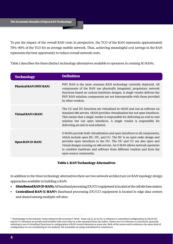To put the impact of the overall RAN costs in perspective, the TCO of the RAN represents approximately 70%−80% of the TCO for an average mobile network. Thus, achieving meaningful cost savings in the RAN represents the best opportunity to reduce overall network costs.

Table 1 describes the three distinct technology alternatives available to operators in creating 5G RANs.

| <b>Technology</b>             | <b>Definition</b>                                                                                                                                                                                                                                                                                                                                                                                        |  |
|-------------------------------|----------------------------------------------------------------------------------------------------------------------------------------------------------------------------------------------------------------------------------------------------------------------------------------------------------------------------------------------------------------------------------------------------------|--|
| <b>Physical RAN (PHY RAN)</b> | PHY RAN is the most common RAN technology currently deployed. All<br>components of the RAN use physically integrated, proprietary network<br>functions based on custom hardware designs. A single vendor delivers the<br>PHY RAN solution; components are not interoperable with those provided<br>by other vendors.                                                                                     |  |
| <b>Virtual RAN (vRAN)</b>     | The CU and DU functions are virtualized in vRAN and run as software on<br>standard x86 servers. vRAN provides virtualization but not open interfaces.<br>This means that a single vendor is responsible for delivering an end-to-end<br>solution but not open interfaces. A single vendor is responsible for<br>delivering an end-to-end solution.                                                       |  |
| Open RAN (O-RAN)              | O-RANs provide both virtualization and open interfaces to all components,<br>which include open RU, DU, and CU. The RU is an open radio design and<br>provides open interfaces to the DU. The DU and CU are also open and<br>virtual designs running on x86 servers. An O-RAN allows network operators<br>to combine hardware and software from different vendors and from the<br>open-source community. |  |

#### **Table 1. RAN Technology Alternatives**

In addition to the three technology alternatives there are two network architecture (or RAN topology) design approaches available in building a RAN:

- **• Distributed RAN (D-RAN):** All baseband processing (DU/CU) equipment is located at the cell site base station.
- **• Centralized RAN (C-RAN)<sup>2</sup>:** Baseband processing (DU/CU) equipment is located in edge data centers and shared among multiple cell sites.

 $^2$  Terminology in the industry varies related to the acronym C-RAN. Some use it, as we do, to reference a centralized configuration in which DU and/or CU elements are pooled and installed with each other at a site separated from the radios. Others use it to reference a cloud RAN, generally referring to use of virtualized functions in configuration of RAN control elements at some site. Both of the terms tend to reference the same kind of configuration we are considering in our analysis. We normalize on using centralized for consistency.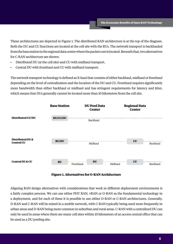These architectures are depicted in Figure 1. The distributed RAN architecture is at the top of the diagram. Both the DU and CU functions are located at the cell site with the RUs. The network transport is backhauled from the base station to the regional data center where the packet core is located. Beneath that, two alternatives for C-RAN architecture are shown:

- Distributed DU (at the cell site) and CU with midhaul transport.
- Central DU with fronthaul and CU with midhaul transport.

The network transport technology is defined as X-haul that consists of either backhaul, midhaul or fronthaul depending on the level of centralization and the location of the DU and CU. Fronthaul requires significantly more bandwidth than either backhaul or midhaul and has stringent requirements for latency and jitter, which means that DUs generally cannot be located more than 10 kilometers from the cell site.





Aligning RAN design alternatives with considerations that work in different deployment environments is a fairly complex process. We can use either PHY RAN, vRAN or O-RAN as the fundamental technology in a deployment, and for each of these it is possible to use either D-RAN or C-RAN architectures. Generally, D-RAN and C-RAN will be mixed in a mobile network, with C-RAN typically being used more frequently in urban areas and D-RAN being more common in suburban and rural areas. C-RAN with a centralized DU can only be used in areas where there are many cell sites within 10 kilometers of an access central office that can be used as a DU pooling site.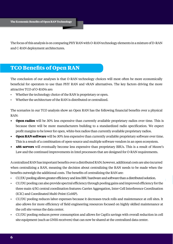The focus of this analysis is on comparing PHY RAN with O-RAN technology elements in a mixture of D-RAN and C-RAN deployment architectures.

## **TCO Benefits of Open RAN**

The conclusion of our analyses is that O-RAN technology choices will most often be more economically beneficial for operators to use than PHY RAN and vRAN alternatives. The key factors driving the more attractive TCO of O-RANs are:

- Whether the technology choice of the RAN is proprietary or open.
- Whether the architecture of the RAN is distributed or centralized.

The scenarios in our TCO analysis show an Open RAN has the following financial benefits over a physical RAN:

- **• Open radios** will be 30% less expensive than currently available proprietary radios over time. This is because there will be more manufacturers building to a standardized radio specification. We expect profit margins to be lower for open, white-box radios than currently available proprietary radios.
- **• Open RAN software** will be 30% less expensive than currently available proprietary software over time. This is a result of a combination of open-source and multiple software vendors in an open ecosystem.
- **• x86 servers** will eventually become less expensive than proprietary BBUs. This is a result of Moore's Law and the continued improvements in Intel processors that are designed for O-RAN requirements.

A centralized RAN has important benefits over a distributed RAN; however, additional costs are also incurred when centralizing a RAN, meaning the decision about centralizing the RAN needs to be made when the benefits outweigh the additional costs. The benefits of centralizing the RAN are:

- CU/DU pooling allows greater efficiency and less BBU hardware and software than a distributed solution.
- CU/DU pooling can also provide spectral efficiency through pooling gains and improved efficiency for the three main 4/5G central coordination features: Carrier Aggregation, Inter-Cell Interference Coordination (ICIC) and Coordinated Multi-Point (CoMP).
- CU/DU pooling reduces labor expenses because it decreases truck rolls and maintenance at cell sites. It also allows for more efficiency of field engineering resources focused on highly skilled maintenance at the cell site versus the data center.
- CU/DU pooling reduces power consumption and allows for CapEx savings with overall reduction in cell site equipment (such as GNSS receivers) that can now be shared at the centralized data center.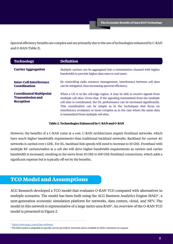Spectral efficiency benefits are complex and are primarily due to the use of technologies enhanced by C-RAN and O-RAN (Table 2).

| <b>Technology</b>                                                            | <b>Definition</b>                                                                                                                                                                                                                                                                                                                                                                                                                               |
|------------------------------------------------------------------------------|-------------------------------------------------------------------------------------------------------------------------------------------------------------------------------------------------------------------------------------------------------------------------------------------------------------------------------------------------------------------------------------------------------------------------------------------------|
| <b>Carrier Aggregation</b>                                                   | Multiple carriers can be aggregated into a transmission channel with higher<br>bandwidth to provide higher data rates to end users.                                                                                                                                                                                                                                                                                                             |
| <b>Inter-Cell Interference</b><br><b>Coordination</b>                        | By controlling radio resource management, interference between cell sites<br>can be mitigated, thus increasing spectral efficiency.                                                                                                                                                                                                                                                                                                             |
| <b>Coordinated Multipoint</b><br><b>Transmission and</b><br><b>Reception</b> | When a UE is in the cell-edge region, it may be able to receive signals from<br>multiple cell sites. Given that, if the signaling transmitted from the multiple<br>cell sites is coordinated, the DL performance can be increased significantly.<br>This coordination can be simple as in the techniques that focus on<br>interference avoidance or more complex as in the case where the same data<br>is transmitted from multiple cell sites. |

#### **Table 2. Technologies Enhanced by C-RAN and O-RAN**

However, the benefits of a C-RAN come at a cost. C-RAN architectures require fronthaul networks, which have much higher bandwidth requirements than traditional backhaul networks. Backhaul for current 4G networks is carried over 1 GbE. For 5G, backhaul link speeds will need to increase to 10 GbE. Fronthaul with multiple RF carriers/radios at a cell site will drive higher bandwidth requirements as carriers and carrier bandwidth is increased, resulting in the move from 10 GbE to 100 GbE fronthaul connections, which adds a significant expense but is typically off-set by the benefits.

## **TCO Model and Assumptions**

ACG Research developed a TCO model that evaluates O-RAN TCO compared with alternatives in multiple scenarios. The model has been built using the ACG Business Analytics Engine (BAE)3 , a next-generation economic simulation platform for networks, data centers, cloud, and NFV. The model in this network is representative of a large metro area RAN<sup>4</sup>. An overview of the O-RAN TCO model is presented in Figure 2.

<sup>3</sup> <https://www.acgcc.com/p/bae-software/>

<sup>4</sup> The BAE model is adaptable to specific service providers' networks and is available to Dell's customers on request.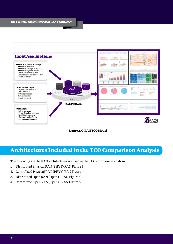



## **Architectures Included in the TCO Comparison Analysis**

The following are the RAN architectures we used in the TCO comparison analysis:

- 1. Distributed Physical RAN (PHY D-RAN Figure 3).
- 2. Centralized Physical RAN (PHY C-RAN Figure 4).
- 3. Distributed Open RAN (Open D-RAN Figure 5).
- 4. Centralized Open RAN (Open C-RAN Figure 6).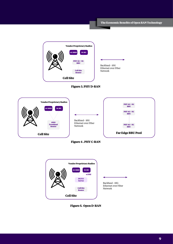**The Economic Benefits of Open RAN Technology** Backhaul - 10G Ethernet over Fiber Network **Vendor Proprietary Radios 4G RRH PHY 4G + 5G BBU Cell Site Router 5G RU**



**Cell Site**







**Figure 5. Open D-RAN**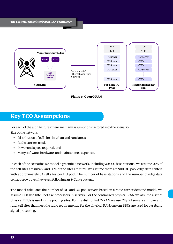

**Figure 6. Open C-RAN**

## **Key TCO Assumptions**

For each of the architectures there are many assumptions factored into the scenario: Size of the network,

- Distribution of cell sites in urban and rural areas,
- Radio carriers used,
- Power and space required, and
- Many software, hardware, and maintenance expenses.

In each of the scenarios we model a greenfield network, including 30,000 base stations. We assume 70% of the cell sites are urban, and 30% of the sites are rural. We assume there are 900 DU pool edge data centers with approximately 33 cell sites per DU pool. The number of base stations and the number of edge data centers grows over five years, following an S-Curve pattern.

The model calculates the number of DU and CU pool servers based on a radio carrier demand model. We assume DUs use Intel IceLake processors in servers. For the centralized physical RAN we assume a set of physical BBUs is used in the pooling sites. For the distributed O-RAN we use CU/DU servers at urban and rural cell sites that meet the radio requirements. For the physical RAN, custom BBUs are used for baseband signal processing.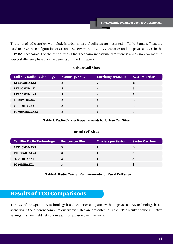The types of radio carriers we include in urban and rural cell sites are presented in Tables 3 and 4. These are used to drive the configuration of CU and DU servers in the O-RAN scenarios and the physical BBUs in the PHY-RAN scenarios. For the centralized O-RAN scenario we assume that there is a 20% improvement in spectral efficiency based on the benefits outlined in Table 2.

| <b>Cell Site Radio Technology</b> | <b>Sectors per Site</b> | <b>Carriers per Sector</b> | <b>Sector Carriers</b> |
|-----------------------------------|-------------------------|----------------------------|------------------------|
| LTE 10MHz 2X2                     | 3                       | 2                          | 6                      |
| <b>LTE 30MHz 4X4</b>              |                         |                            | 3                      |
| <b>LTE 20MHz 4x4</b>              | 3                       |                            | 3                      |
| 5G 20MHz 4X4                      | 3                       |                            | 3                      |
| <b>5G10MHz2X2</b>                 |                         |                            | 3                      |
| 5G 90MHz 32X32                    |                         |                            |                        |

#### **Urban Cell Sites**

#### **Table 3. Radio Carrier Requirements for Urban Cell Sites**

#### **Rural Cell Sites**

| <b>Cell Site Radio Technology</b> | <b>Sectors per Site</b> | <b>Carriers per Sector</b> | <b>Sector Carriers</b> |
|-----------------------------------|-------------------------|----------------------------|------------------------|
| <b>LTE 10MHz 2X2</b>              |                         |                            | n                      |
| <b>LTE 30MHz 4X4</b>              |                         |                            |                        |
| 5G 20MHz 4X4                      |                         |                            |                        |
| 5G 10MHz 2X2                      |                         |                            | 3                      |

#### **Table 4. Radio Carrier Requirements for Rural Cell Sites**

## **Results of TCO Comparisons**

The TCO of the Open RAN technology-based scenarios compared with the physical RAN technology-based scenarios in the different combinations we evaluated are presented in Table 5. The results show cumulative savings in a greenfield network in each comparison over five years.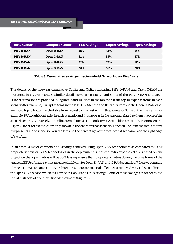| <b>Base Scenario</b> | <b>Compare Scenario</b> TCO Savings |     | <b>CapEx Savings</b> | <b>OpEx Savings</b> |
|----------------------|-------------------------------------|-----|----------------------|---------------------|
| <b>PHYD-RAN</b>      | <b>Open D-RAN</b>                   | 28% | 32%                  | <b>15%</b>          |
| <b>PHY D-RAN</b>     | Open C-RAN                          | 31% | 33%                  | <b>27%</b>          |
| <b>PHY C-RAN</b>     | <b>Open D-RAN</b>                   | 31% | 37%                  | <b>11%</b>          |
| <b>PHY C-RAN</b>     | <b>Open C-RAN</b>                   | 35% | 38%                  | 23%                 |

#### **Table 5. Cumulative Savings in a Greenfield Network over Five Years**

The details of the five-year cumulative CapEx and OpEx comparing PHY D-RAN and Open C-RAN are presented in Figures 7 and 8. Similar details comparing CapEx and OpEx of the PHY D-RAN and Open D-RAN scenarios are provided in Figures 9 and 10. Note in the tables that the top 10 expense items in each scenario (for example, 10 CapEx items in the PHY D-RAN case and 10 CapEx items in the Open C-RAN case) are listed top to bottom in the table from largest to smallest within that scenario. Some of the line items (for example, RU acquisition) exist in each scenario and thus appear in the amount related to them in each of the scenario charts. Conversely, other line items (such as DU Pool Server Acquisition) exist only in one scenario (Open C-RAN, for example) are only shown in the chart for that scenario. For each line item the total amount it represents in the scenario is on the left, and the percentage of the total of that scenario is on the right edge of each bar.

In all cases, a major component of savings achieved using Open RAN technologies as compared to using proprietary physical RAN technologies in the deployment is reduced radio expenses. This is based on our projection that open radios will be 30% less expensive than proprietary radios during the time frame of the analysis. BBU software savings are also significant for Open D-RAN and C-RAN scenarios. When we compare Physical D-RAN to Open C-RAN architectures there are spectral efficiencies achieved via CU/DU pooling in the Open C-RAN case, which result in both CapEx and OpEx savings. Some of these savings are off-set by the initial high cost of fronthaul fiber deployment (Figure 7).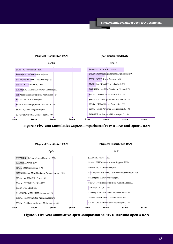

**Figure 7. Five-Year Cumulative CapEx Comparison of PHY D-RAN and Open C-RAN**



**Figure 8. Five-Year Cumulative OpEx Comparison of PHY D-RAN and Open C-RAN**

#### **13**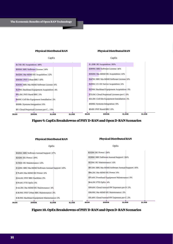





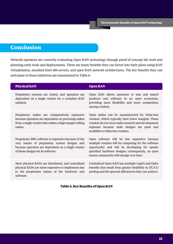## **Conclusion**

Network operators are currently evaluating Open RAN technology through proof of concept lab work and planning early trials and deployments. There are many benefits they can factor into their plans using RAN virtualization, standard Intel x86 servers, and open RAN network architectures. The key benefits they can anticipate in those initiatives are summarized in Table 6.

| <b>Physical RAN</b>                                                                                                                                                                               | <b>Open RAN</b>                                                                                                                                                                                                                                      |
|---------------------------------------------------------------------------------------------------------------------------------------------------------------------------------------------------|------------------------------------------------------------------------------------------------------------------------------------------------------------------------------------------------------------------------------------------------------|
| Proprietary systems are closed, and operators are<br>dependent on a single vendor for a complete RAN<br>solution.                                                                                 | Open RAN allows operators to mix and match<br>products and software in an open ecosystem,<br>providing more flexibility and more competition<br>among vendors.                                                                                       |
| Proprietary radios are comparatively expensive<br>because operators are dependent on procuring radios<br>from a single vendor that makes a high margin selling<br>radios.                         | Open radios can be manufactured by white-box<br>vendors, which typically have lower margins. These<br>vendors do not incur radio research and development<br>expenses because radio designs are open and<br>available to white-box vendors.          |
| Proprietary BBU software is expensive because of the<br>very nature of proprietary system designs and<br>because operators are dependent on a single vendor<br>of those designs for its software. | Open software will be less expensive because<br>multiple vendors will be competing for the software<br>opportunity and will be developing for openly<br>specified hardware designs; consequently, an open<br>source community will emerge over time. |
| Most physical RANs are distributed, and centralized<br>physical RANs are more expensive to implement due<br>to the proprietary nature of the hardware and<br>software.                            | Centralized Open RAN has multiple CapEx and OpEx<br>benefits that result from greater flexibility in DU/CU<br>pooling and the spectral efficiencies they can achieve.                                                                                |

#### **Table 6. Key Benefits of Open RAN**